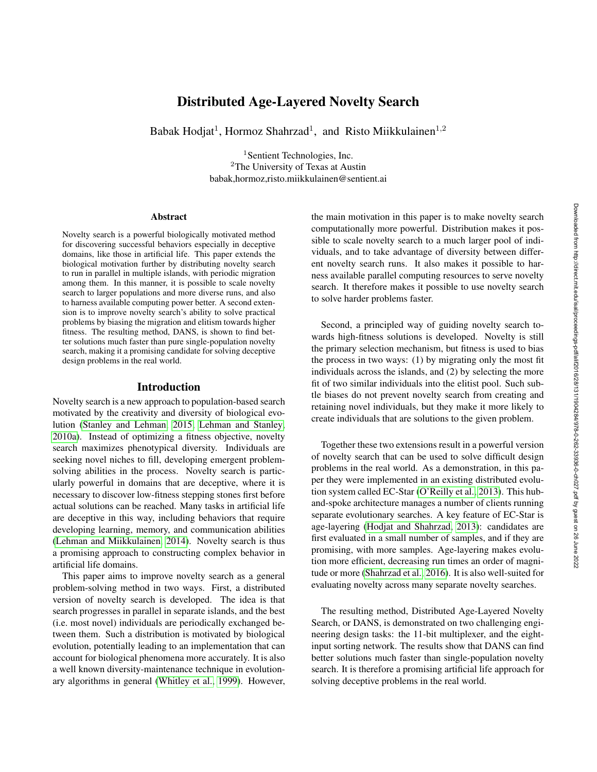# Distributed Age-Layered Novelty Search

Babak Hodjat<sup>1</sup>, Hormoz Shahrzad<sup>1</sup>, and Risto Miikkulainen<sup>1,2</sup>

<sup>1</sup>Sentient Technologies, Inc. <sup>2</sup>The University of Texas at Austin babak,hormoz,risto.miikkulainen@sentient.ai

#### **Abstract**

Novelty search is a powerful biologically motivated method for discovering successful behaviors especially in deceptive domains, like those in artificial life. This paper extends the biological motivation further by distributing novelty search to run in parallel in multiple islands, with periodic migration among them. In this manner, it is possible to scale novelty search to larger populations and more diverse runs, and also to harness available computing power better. A second extension is to improve novelty search's ability to solve practical problems by biasing the migration and elitism towards higher fitness. The resulting method, DANS, is shown to find better solutions much faster than pure single-population novelty search, making it a promising candidate for solving deceptive design problems in the real world.

#### Introduction

Novelty search is a new approach to population-based search motivated by the creativity and diversity of biological evolution [\(Stanley and Lehman, 2015;](#page-7-0) [Lehman and Stanley,](#page-7-1) [2010a\)](#page-7-1). Instead of optimizing a fitness objective, novelty search maximizes phenotypical diversity. Individuals are seeking novel niches to fill, developing emergent problemsolving abilities in the process. Novelty search is particularly powerful in domains that are deceptive, where it is necessary to discover low-fitness stepping stones first before actual solutions can be reached. Many tasks in artificial life are deceptive in this way, including behaviors that require developing learning, memory, and communication abilities [\(Lehman and Miikkulainen, 2014\)](#page-7-2). Novelty search is thus a promising approach to constructing complex behavior in artificial life domains.

This paper aims to improve novelty search as a general problem-solving method in two ways. First, a distributed version of novelty search is developed. The idea is that search progresses in parallel in separate islands, and the best (i.e. most novel) individuals are periodically exchanged between them. Such a distribution is motivated by biological evolution, potentially leading to an implementation that can account for biological phenomena more accurately. It is also a well known diversity-maintenance technique in evolutionary algorithms in general [\(Whitley et al., 1999\)](#page-7-3). However,

the main motivation in this paper is to make novelty search computationally more powerful. Distribution makes it possible to scale novelty search to a much larger pool of individuals, and to take advantage of diversity between different novelty search runs. It also makes it possible to harness available parallel computing resources to serve novelty search. It therefore makes it possible to use novelty search to solve harder problems faster.

Second, a principled way of guiding novelty search towards high-fitness solutions is developed. Novelty is still the primary selection mechanism, but fitness is used to bias the process in two ways: (1) by migrating only the most fit individuals across the islands, and (2) by selecting the more fit of two similar individuals into the elitist pool. Such subtle biases do not prevent novelty search from creating and retaining novel individuals, but they make it more likely to create individuals that are solutions to the given problem.

Together these two extensions result in a powerful version of novelty search that can be used to solve difficult design problems in the real world. As a demonstration, in this paper they were implemented in an existing distributed evolution system called EC-Star [\(O'Reilly et al., 2013\)](#page-7-4). This huband-spoke architecture manages a number of clients running separate evolutionary searches. A key feature of EC-Star is age-layering [\(Hodjat and Shahrzad, 2013\)](#page-7-5): candidates are first evaluated in a small number of samples, and if they are promising, with more samples. Age-layering makes evolution more efficient, decreasing run times an order of magnitude or more [\(Shahrzad et al., 2016\)](#page-7-6). It is also well-suited for evaluating novelty across many separate novelty searches.

The resulting method, Distributed Age-Layered Novelty Search, or DANS, is demonstrated on two challenging engineering design tasks: the 11-bit multiplexer, and the eightinput sorting network. The results show that DANS can find better solutions much faster than single-population novelty search. It is therefore a promising artificial life approach for solving deceptive problems in the real world.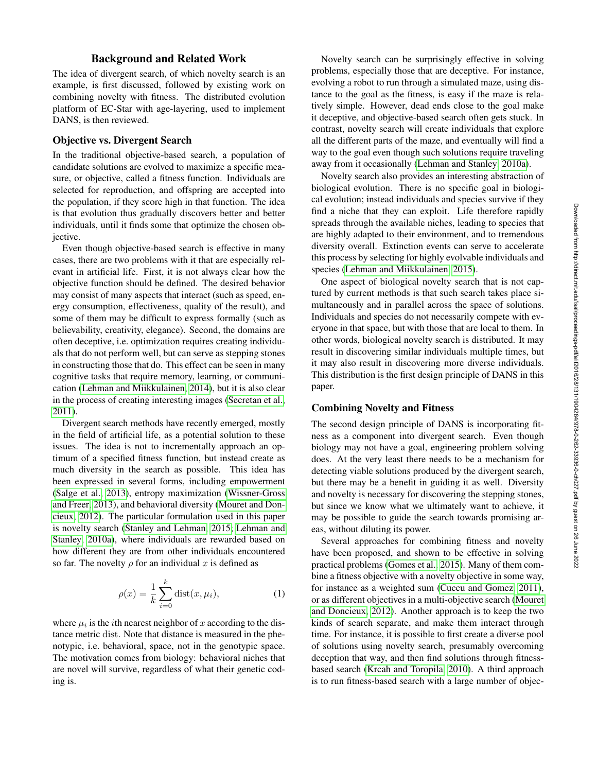# Background and Related Work

The idea of divergent search, of which novelty search is an example, is first discussed, followed by existing work on combining novelty with fitness. The distributed evolution platform of EC-Star with age-layering, used to implement DANS, is then reviewed.

#### Objective vs. Divergent Search

In the traditional objective-based search, a population of candidate solutions are evolved to maximize a specific measure, or objective, called a fitness function. Individuals are selected for reproduction, and offspring are accepted into the population, if they score high in that function. The idea is that evolution thus gradually discovers better and better individuals, until it finds some that optimize the chosen objective.

Even though objective-based search is effective in many cases, there are two problems with it that are especially relevant in artificial life. First, it is not always clear how the objective function should be defined. The desired behavior may consist of many aspects that interact (such as speed, energy consumption, effectiveness, quality of the result), and some of them may be difficult to express formally (such as believability, creativity, elegance). Second, the domains are often deceptive, i.e. optimization requires creating individuals that do not perform well, but can serve as stepping stones in constructing those that do. This effect can be seen in many cognitive tasks that require memory, learning, or communication [\(Lehman and Miikkulainen, 2014\)](#page-7-2), but it is also clear in the process of creating interesting images [\(Secretan et al.,](#page-7-7) [2011\)](#page-7-7).

Divergent search methods have recently emerged, mostly in the field of artificial life, as a potential solution to these issues. The idea is not to incrementally approach an optimum of a specified fitness function, but instead create as much diversity in the search as possible. This idea has been expressed in several forms, including empowerment [\(Salge et al., 2013\)](#page-7-8), entropy maximization [\(Wissner-Gross](#page-7-9) [and Freer, 2013\)](#page-7-9), and behavioral diversity [\(Mouret and Don](#page-7-10)[cieux, 2012\)](#page-7-10). The particular formulation used in this paper is novelty search [\(Stanley and Lehman, 2015;](#page-7-0) [Lehman and](#page-7-1) [Stanley, 2010a\)](#page-7-1), where individuals are rewarded based on how different they are from other individuals encountered so far. The novelty  $\rho$  for an individual x is defined as

$$
\rho(x) = \frac{1}{k} \sum_{i=0}^{k} \text{dist}(x, \mu_i),\tag{1}
$$

where  $\mu_i$  is the *i*th nearest neighbor of x according to the distance metric dist. Note that distance is measured in the phenotypic, i.e. behavioral, space, not in the genotypic space. The motivation comes from biology: behavioral niches that are novel will survive, regardless of what their genetic coding is.

Novelty search can be surprisingly effective in solving problems, especially those that are deceptive. For instance, evolving a robot to run through a simulated maze, using distance to the goal as the fitness, is easy if the maze is relatively simple. However, dead ends close to the goal make it deceptive, and objective-based search often gets stuck. In contrast, novelty search will create individuals that explore all the different parts of the maze, and eventually will find a way to the goal even though such solutions require traveling away from it occasionally [\(Lehman and Stanley, 2010a\)](#page-7-1).

Novelty search also provides an interesting abstraction of biological evolution. There is no specific goal in biological evolution; instead individuals and species survive if they find a niche that they can exploit. Life therefore rapidly spreads through the available niches, leading to species that are highly adapted to their environment, and to tremendous diversity overall. Extinction events can serve to accelerate this process by selecting for highly evolvable individuals and species [\(Lehman and Miikkulainen, 2015\)](#page-7-11).

One aspect of biological novelty search that is not captured by current methods is that such search takes place simultaneously and in parallel across the space of solutions. Individuals and species do not necessarily compete with everyone in that space, but with those that are local to them. In other words, biological novelty search is distributed. It may result in discovering similar individuals multiple times, but it may also result in discovering more diverse individuals. This distribution is the first design principle of DANS in this paper.

#### Combining Novelty and Fitness

The second design principle of DANS is incorporating fitness as a component into divergent search. Even though biology may not have a goal, engineering problem solving does. At the very least there needs to be a mechanism for detecting viable solutions produced by the divergent search, but there may be a benefit in guiding it as well. Diversity and novelty is necessary for discovering the stepping stones, but since we know what we ultimately want to achieve, it may be possible to guide the search towards promising areas, without diluting its power.

Several approaches for combining fitness and novelty have been proposed, and shown to be effective in solving practical problems [\(Gomes et al., 2015\)](#page-7-12). Many of them combine a fitness objective with a novelty objective in some way, for instance as a weighted sum [\(Cuccu and Gomez, 2011\)](#page-7-13), or as different objectives in a multi-objective search [\(Mouret](#page-7-10) [and Doncieux, 2012\)](#page-7-10). Another approach is to keep the two kinds of search separate, and make them interact through time. For instance, it is possible to first create a diverse pool of solutions using novelty search, presumably overcoming deception that way, and then find solutions through fitnessbased search [\(Krcah and Toropila, 2010\)](#page-7-14). A third approach is to run fitness-based search with a large number of objec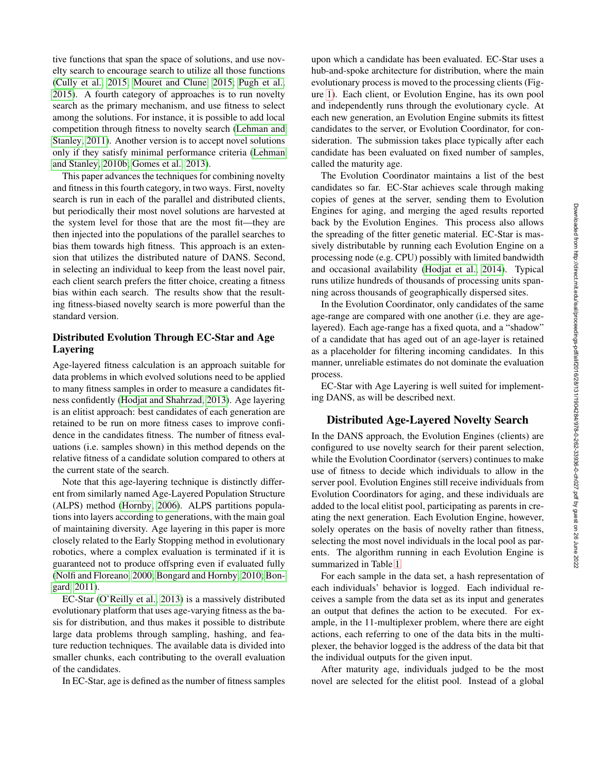tive functions that span the space of solutions, and use novelty search to encourage search to utilize all those functions [\(Cully et al., 2015;](#page-7-15) [Mouret and Clune, 2015;](#page-7-16) [Pugh et al.,](#page-7-17) [2015\)](#page-7-17). A fourth category of approaches is to run novelty search as the primary mechanism, and use fitness to select among the solutions. For instance, it is possible to add local competition through fitness to novelty search [\(Lehman and](#page-7-18) [Stanley, 2011\)](#page-7-18). Another version is to accept novel solutions only if they satisfy minimal performance criteria [\(Lehman](#page-7-19) [and Stanley, 2010b;](#page-7-19) [Gomes et al., 2013\)](#page-7-20).

This paper advances the techniques for combining novelty and fitness in this fourth category, in two ways. First, novelty search is run in each of the parallel and distributed clients, but periodically their most novel solutions are harvested at the system level for those that are the most fit—they are then injected into the populations of the parallel searches to bias them towards high fitness. This approach is an extension that utilizes the distributed nature of DANS. Second, in selecting an individual to keep from the least novel pair, each client search prefers the fitter choice, creating a fitness bias within each search. The results show that the resulting fitness-biased novelty search is more powerful than the standard version.

# Distributed Evolution Through EC-Star and Age Layering

Age-layered fitness calculation is an approach suitable for data problems in which evolved solutions need to be applied to many fitness samples in order to measure a candidates fitness confidently [\(Hodjat and Shahrzad, 2013\)](#page-7-5). Age layering is an elitist approach: best candidates of each generation are retained to be run on more fitness cases to improve confidence in the candidates fitness. The number of fitness evaluations (i.e. samples shown) in this method depends on the relative fitness of a candidate solution compared to others at the current state of the search.

Note that this age-layering technique is distinctly different from similarly named Age-Layered Population Structure (ALPS) method [\(Hornby, 2006\)](#page-7-21). ALPS partitions populations into layers according to generations, with the main goal of maintaining diversity. Age layering in this paper is more closely related to the Early Stopping method in evolutionary robotics, where a complex evaluation is terminated if it is guaranteed not to produce offspring even if evaluated fully [\(Nolfi and Floreano, 2000;](#page-7-22) [Bongard and Hornby, 2010;](#page-6-0) [Bon](#page-6-1)[gard, 2011\)](#page-6-1).

EC-Star [\(O'Reilly et al., 2013\)](#page-7-4) is a massively distributed evolutionary platform that uses age-varying fitness as the basis for distribution, and thus makes it possible to distribute large data problems through sampling, hashing, and feature reduction techniques. The available data is divided into smaller chunks, each contributing to the overall evaluation of the candidates.

In EC-Star, age is defined as the number of fitness samples

upon which a candidate has been evaluated. EC-Star uses a hub-and-spoke architecture for distribution, where the main evolutionary process is moved to the processing clients (Figure [1\)](#page-3-0). Each client, or Evolution Engine, has its own pool and independently runs through the evolutionary cycle. At each new generation, an Evolution Engine submits its fittest candidates to the server, or Evolution Coordinator, for consideration. The submission takes place typically after each candidate has been evaluated on fixed number of samples, called the maturity age.

The Evolution Coordinator maintains a list of the best candidates so far. EC-Star achieves scale through making copies of genes at the server, sending them to Evolution Engines for aging, and merging the aged results reported back by the Evolution Engines. This process also allows the spreading of the fitter genetic material. EC-Star is massively distributable by running each Evolution Engine on a processing node (e.g. CPU) possibly with limited bandwidth and occasional availability [\(Hodjat et al., 2014\)](#page-7-23). Typical runs utilize hundreds of thousands of processing units spanning across thousands of geographically dispersed sites.

In the Evolution Coordinator, only candidates of the same age-range are compared with one another (i.e. they are agelayered). Each age-range has a fixed quota, and a "shadow" of a candidate that has aged out of an age-layer is retained as a placeholder for filtering incoming candidates. In this manner, unreliable estimates do not dominate the evaluation process.

EC-Star with Age Layering is well suited for implementing DANS, as will be described next.

# Distributed Age-Layered Novelty Search

In the DANS approach, the Evolution Engines (clients) are configured to use novelty search for their parent selection, while the Evolution Coordinator (servers) continues to make use of fitness to decide which individuals to allow in the server pool. Evolution Engines still receive individuals from Evolution Coordinators for aging, and these individuals are added to the local elitist pool, participating as parents in creating the next generation. Each Evolution Engine, however, solely operates on the basis of novelty rather than fitness, selecting the most novel individuals in the local pool as parents. The algorithm running in each Evolution Engine is summarized in Table [1.](#page-3-1)

For each sample in the data set, a hash representation of each individuals' behavior is logged. Each individual receives a sample from the data set as its input and generates an output that defines the action to be executed. For example, in the 11-multiplexer problem, where there are eight actions, each referring to one of the data bits in the multiplexer, the behavior logged is the address of the data bit that the individual outputs for the given input.

After maturity age, individuals judged to be the most novel are selected for the elitist pool. Instead of a global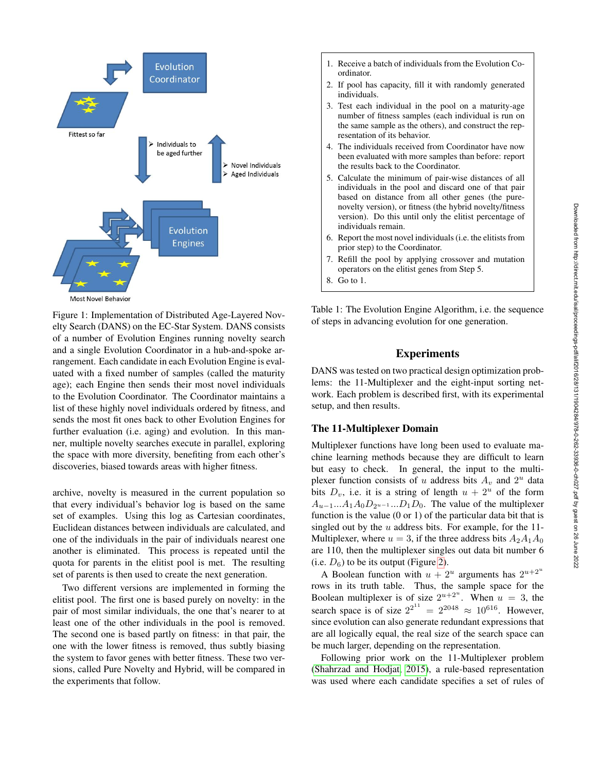

<span id="page-3-0"></span>Figure 1: Implementation of Distributed Age-Layered Novelty Search (DANS) on the EC-Star System. DANS consists of a number of Evolution Engines running novelty search and a single Evolution Coordinator in a hub-and-spoke arrangement. Each candidate in each Evolution Engine is evaluated with a fixed number of samples (called the maturity age); each Engine then sends their most novel individuals to the Evolution Coordinator. The Coordinator maintains a list of these highly novel individuals ordered by fitness, and sends the most fit ones back to other Evolution Engines for further evaluation (i.e. aging) and evolution. In this manner, multiple novelty searches execute in parallel, exploring the space with more diversity, benefiting from each other's discoveries, biased towards areas with higher fitness.

archive, novelty is measured in the current population so that every individual's behavior log is based on the same set of examples. Using this log as Cartesian coordinates, Euclidean distances between individuals are calculated, and one of the individuals in the pair of individuals nearest one another is eliminated. This process is repeated until the quota for parents in the elitist pool is met. The resulting set of parents is then used to create the next generation.

Two different versions are implemented in forming the elitist pool. The first one is based purely on novelty: in the pair of most similar individuals, the one that's nearer to at least one of the other individuals in the pool is removed. The second one is based partly on fitness: in that pair, the one with the lower fitness is removed, thus subtly biasing the system to favor genes with better fitness. These two versions, called Pure Novelty and Hybrid, will be compared in the experiments that follow.

- 1. Receive a batch of individuals from the Evolution Coordinator.
- 2. If pool has capacity, fill it with randomly generated individuals.
- 3. Test each individual in the pool on a maturity-age number of fitness samples (each individual is run on the same sample as the others), and construct the representation of its behavior.
- 4. The individuals received from Coordinator have now been evaluated with more samples than before: report the results back to the Coordinator.
- 5. Calculate the minimum of pair-wise distances of all individuals in the pool and discard one of that pair based on distance from all other genes (the purenovelty version), or fitness (the hybrid novelty/fitness version). Do this until only the elitist percentage of individuals remain.
- 6. Report the most novel individuals (i.e. the elitists from prior step) to the Coordinator.
- 7. Refill the pool by applying crossover and mutation operators on the elitist genes from Step 5.
- <span id="page-3-1"></span>8. Go to 1.

Table 1: The Evolution Engine Algorithm, i.e. the sequence of steps in advancing evolution for one generation.

# Experiments

DANS was tested on two practical design optimization problems: the 11-Multiplexer and the eight-input sorting network. Each problem is described first, with its experimental setup, and then results.

# The 11-Multiplexer Domain

Multiplexer functions have long been used to evaluate machine learning methods because they are difficult to learn but easy to check. In general, the input to the multiplexer function consists of u address bits  $A_v$  and  $2^u$  data bits  $D_v$ , i.e. it is a string of length  $u + 2^u$  of the form  $A_{u-1}...A_1A_0D_{2^{u-1}}...D_1D_0$ . The value of the multiplexer function is the value  $(0 \text{ or } 1)$  of the particular data bit that is singled out by the  $u$  address bits. For example, for the 11-Multiplexer, where  $u = 3$ , if the three address bits  $A_2A_1A_0$ are 110, then the multiplexer singles out data bit number 6 (i.e.  $D_6$ ) to be its output (Figure [2\)](#page-4-0).

A Boolean function with  $u + 2^u$  arguments has  $2^{u+2^u}$ rows in its truth table. Thus, the sample space for the Boolean multiplexer is of size  $2^{u+2^u}$ . When  $u = 3$ , the search space is of size  $2^{2^{11}} = 2^{2048} \approx 10^{616}$ . However, since evolution can also generate redundant expressions that are all logically equal, the real size of the search space can be much larger, depending on the representation.

Following prior work on the 11-Multiplexer problem [\(Shahrzad and Hodjat, 2015\)](#page-7-24), a rule-based representation was used where each candidate specifies a set of rules of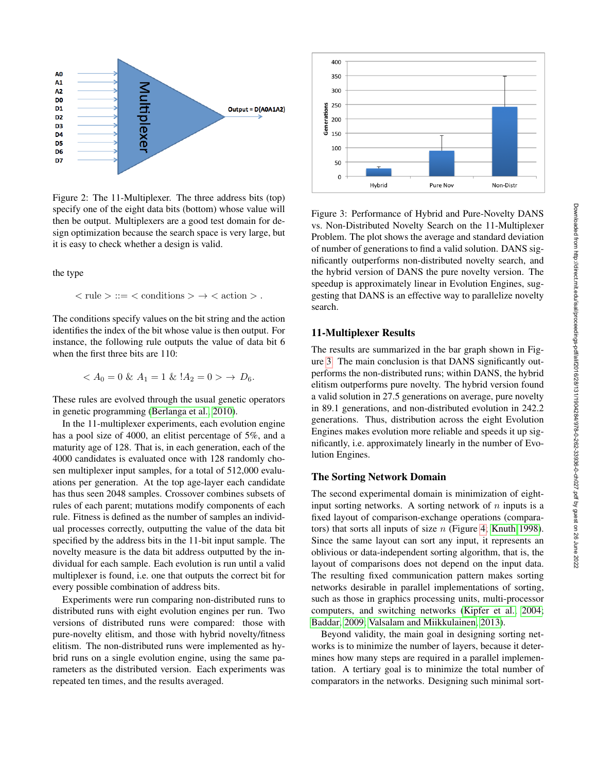

<span id="page-4-0"></span>Figure 2: The 11-Multiplexer. The three address bits (top) specify one of the eight data bits (bottom) whose value will then be output. Multiplexers are a good test domain for design optimization because the search space is very large, but it is easy to check whether a design is valid.

the type

$$
\langle \text{ rule } \rangle ::= \langle \text{ conditions } \rangle \to \langle \text{ action } \rangle.
$$

The conditions specify values on the bit string and the action identifies the index of the bit whose value is then output. For instance, the following rule outputs the value of data bit 6 when the first three bits are 110:

$$
\langle A_0 = 0 \& A_1 = 1 \& A_2 = 0 \rangle \rightarrow D_6.
$$

These rules are evolved through the usual genetic operators in genetic programming [\(Berlanga et al., 2010\)](#page-6-2).

In the 11-multiplexer experiments, each evolution engine has a pool size of 4000, an elitist percentage of 5%, and a maturity age of 128. That is, in each generation, each of the 4000 candidates is evaluated once with 128 randomly chosen multiplexer input samples, for a total of 512,000 evaluations per generation. At the top age-layer each candidate has thus seen 2048 samples. Crossover combines subsets of rules of each parent; mutations modify components of each rule. Fitness is defined as the number of samples an individual processes correctly, outputting the value of the data bit specified by the address bits in the 11-bit input sample. The novelty measure is the data bit address outputted by the individual for each sample. Each evolution is run until a valid multiplexer is found, i.e. one that outputs the correct bit for every possible combination of address bits.

Experiments were run comparing non-distributed runs to distributed runs with eight evolution engines per run. Two versions of distributed runs were compared: those with pure-novelty elitism, and those with hybrid novelty/fitness elitism. The non-distributed runs were implemented as hybrid runs on a single evolution engine, using the same parameters as the distributed version. Each experiments was repeated ten times, and the results averaged.



<span id="page-4-1"></span>Figure 3: Performance of Hybrid and Pure-Novelty DANS vs. Non-Distributed Novelty Search on the 11-Multiplexer Problem. The plot shows the average and standard deviation of number of generations to find a valid solution. DANS significantly outperforms non-distributed novelty search, and the hybrid version of DANS the pure novelty version. The speedup is approximately linear in Evolution Engines, suggesting that DANS is an effective way to parallelize novelty search.

# 11-Multiplexer Results

The results are summarized in the bar graph shown in Figure [3.](#page-4-1) The main conclusion is that DANS significantly outperforms the non-distributed runs; within DANS, the hybrid elitism outperforms pure novelty. The hybrid version found a valid solution in 27.5 generations on average, pure novelty in 89.1 generations, and non-distributed evolution in 242.2 generations. Thus, distribution across the eight Evolution Engines makes evolution more reliable and speeds it up significantly, i.e. approximately linearly in the number of Evolution Engines.

# The Sorting Network Domain

The second experimental domain is minimization of eightinput sorting networks. A sorting network of  $n$  inputs is a fixed layout of comparison-exchange operations (comparators) that sorts all inputs of size  $n$  (Figure [4;](#page-5-0) [Knuth 1998\)](#page-7-25). Since the same layout can sort any input, it represents an oblivious or data-independent sorting algorithm, that is, the layout of comparisons does not depend on the input data. The resulting fixed communication pattern makes sorting networks desirable in parallel implementations of sorting, such as those in graphics processing units, multi-processor computers, and switching networks [\(Kipfer et al., 2004;](#page-7-26) [Baddar, 2009;](#page-6-3) [Valsalam and Miikkulainen, 2013\)](#page-7-27).

Beyond validity, the main goal in designing sorting networks is to minimize the number of layers, because it determines how many steps are required in a parallel implementation. A tertiary goal is to minimize the total number of comparators in the networks. Designing such minimal sort-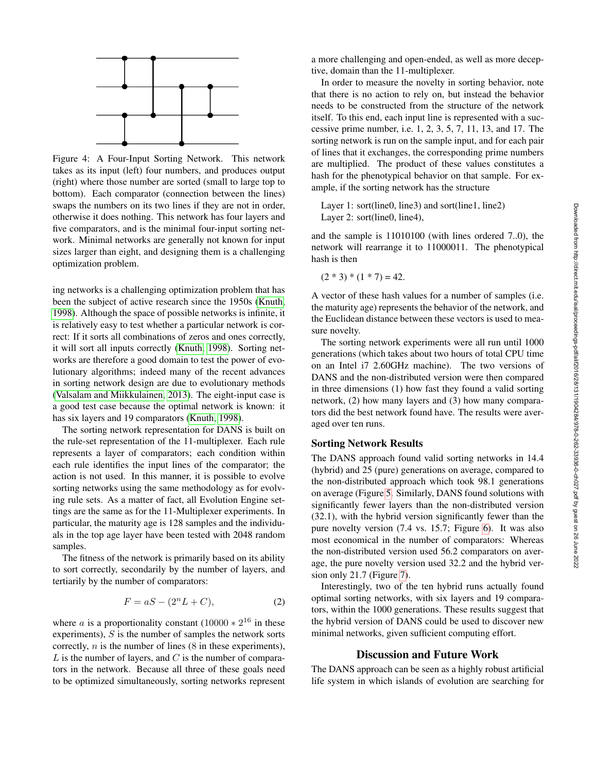

<span id="page-5-0"></span>Figure 4: A Four-Input Sorting Network. This network takes as its input (left) four numbers, and produces output (right) where those number are sorted (small to large top to bottom). Each comparator (connection between the lines) swaps the numbers on its two lines if they are not in order, otherwise it does nothing. This network has four layers and five comparators, and is the minimal four-input sorting network. Minimal networks are generally not known for input sizes larger than eight, and designing them is a challenging optimization problem.

ing networks is a challenging optimization problem that has been the subject of active research since the 1950s [\(Knuth,](#page-7-25) [1998\)](#page-7-25). Although the space of possible networks is infinite, it is relatively easy to test whether a particular network is correct: If it sorts all combinations of zeros and ones correctly, it will sort all inputs correctly [\(Knuth, 1998\)](#page-7-25). Sorting networks are therefore a good domain to test the power of evolutionary algorithms; indeed many of the recent advances in sorting network design are due to evolutionary methods [\(Valsalam and Miikkulainen, 2013\)](#page-7-27). The eight-input case is a good test case because the optimal network is known: it has six layers and 19 comparators [\(Knuth, 1998\)](#page-7-25).

The sorting network representation for DANS is built on the rule-set representation of the 11-multiplexer. Each rule represents a layer of comparators; each condition within each rule identifies the input lines of the comparator; the action is not used. In this manner, it is possible to evolve sorting networks using the same methodology as for evolving rule sets. As a matter of fact, all Evolution Engine settings are the same as for the 11-Multiplexer experiments. In particular, the maturity age is 128 samples and the individuals in the top age layer have been tested with 2048 random samples.

The fitness of the network is primarily based on its ability to sort correctly, secondarily by the number of layers, and tertiarily by the number of comparators:

$$
F = aS - (2^n L + C),\tag{2}
$$

where *a* is a proportionality constant  $(10000 * 2^{16})$  in these experiments),  $S$  is the number of samples the network sorts correctly,  $n$  is the number of lines (8 in these experiments),  $L$  is the number of layers, and  $C$  is the number of comparators in the network. Because all three of these goals need to be optimized simultaneously, sorting networks represent

a more challenging and open-ended, as well as more deceptive, domain than the 11-multiplexer.

In order to measure the novelty in sorting behavior, note that there is no action to rely on, but instead the behavior needs to be constructed from the structure of the network itself. To this end, each input line is represented with a successive prime number, i.e. 1, 2, 3, 5, 7, 11, 13, and 17. The sorting network is run on the sample input, and for each pair of lines that it exchanges, the corresponding prime numbers are multiplied. The product of these values constitutes a hash for the phenotypical behavior on that sample. For example, if the sorting network has the structure

Layer 1: sort(line0, line3) and sort(line1, line2) Layer 2: sort(line0, line4),

and the sample is 11010100 (with lines ordered 7..0), the network will rearrange it to 11000011. The phenotypical hash is then

 $(2 * 3) * (1 * 7) = 42.$ 

A vector of these hash values for a number of samples (i.e. the maturity age) represents the behavior of the network, and the Euclidean distance between these vectors is used to measure novelty.

The sorting network experiments were all run until 1000 generations (which takes about two hours of total CPU time on an Intel i7 2.60GHz machine). The two versions of DANS and the non-distributed version were then compared in three dimensions (1) how fast they found a valid sorting network, (2) how many layers and (3) how many comparators did the best network found have. The results were averaged over ten runs.

# Sorting Network Results

The DANS approach found valid sorting networks in 14.4 (hybrid) and 25 (pure) generations on average, compared to the non-distributed approach which took 98.1 generations on average (Figure [5.](#page-6-4) Similarly, DANS found solutions with significantly fewer layers than the non-distributed version (32.1), with the hybrid version significantly fewer than the pure novelty version (7.4 vs. 15.7; Figure [6\)](#page-6-5). It was also most economical in the number of comparators: Whereas the non-distributed version used 56.2 comparators on average, the pure novelty version used 32.2 and the hybrid version only 21.7 (Figure [7\)](#page-7-28).

Interestingly, two of the ten hybrid runs actually found optimal sorting networks, with six layers and 19 comparators, within the 1000 generations. These results suggest that the hybrid version of DANS could be used to discover new minimal networks, given sufficient computing effort.

# Discussion and Future Work

The DANS approach can be seen as a highly robust artificial life system in which islands of evolution are searching for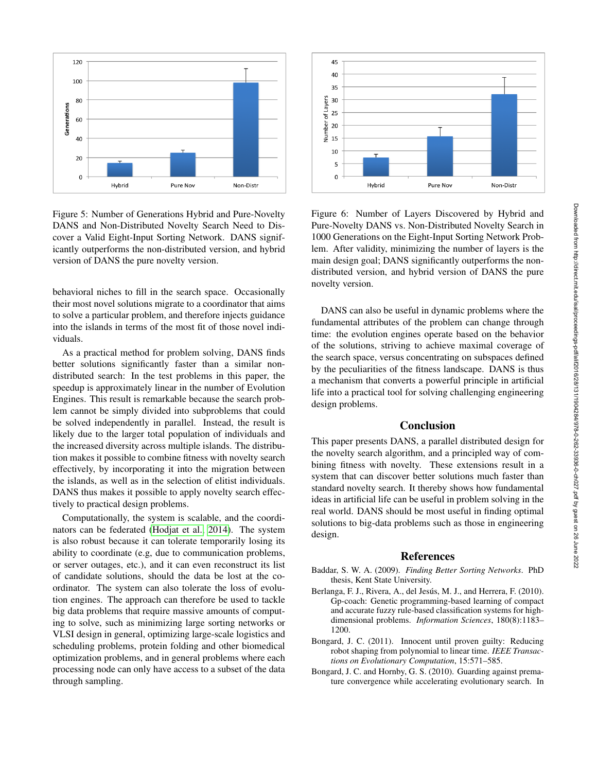

<span id="page-6-4"></span>Figure 5: Number of Generations Hybrid and Pure-Novelty DANS and Non-Distributed Novelty Search Need to Discover a Valid Eight-Input Sorting Network. DANS significantly outperforms the non-distributed version, and hybrid version of DANS the pure novelty version.

behavioral niches to fill in the search space. Occasionally their most novel solutions migrate to a coordinator that aims to solve a particular problem, and therefore injects guidance into the islands in terms of the most fit of those novel individuals.

As a practical method for problem solving, DANS finds better solutions significantly faster than a similar nondistributed search: In the test problems in this paper, the speedup is approximately linear in the number of Evolution Engines. This result is remarkable because the search problem cannot be simply divided into subproblems that could be solved independently in parallel. Instead, the result is likely due to the larger total population of individuals and the increased diversity across multiple islands. The distribution makes it possible to combine fitness with novelty search effectively, by incorporating it into the migration between the islands, as well as in the selection of elitist individuals. DANS thus makes it possible to apply novelty search effectively to practical design problems.

Computationally, the system is scalable, and the coordinators can be federated [\(Hodjat et al., 2014\)](#page-7-23). The system is also robust because it can tolerate temporarily losing its ability to coordinate (e.g, due to communication problems, or server outages, etc.), and it can even reconstruct its list of candidate solutions, should the data be lost at the coordinator. The system can also tolerate the loss of evolution engines. The approach can therefore be used to tackle big data problems that require massive amounts of computing to solve, such as minimizing large sorting networks or VLSI design in general, optimizing large-scale logistics and scheduling problems, protein folding and other biomedical optimization problems, and in general problems where each processing node can only have access to a subset of the data through sampling.



<span id="page-6-5"></span>Figure 6: Number of Layers Discovered by Hybrid and Pure-Novelty DANS vs. Non-Distributed Novelty Search in 1000 Generations on the Eight-Input Sorting Network Problem. After validity, minimizing the number of layers is the main design goal; DANS significantly outperforms the nondistributed version, and hybrid version of DANS the pure novelty version.

DANS can also be useful in dynamic problems where the fundamental attributes of the problem can change through time: the evolution engines operate based on the behavior of the solutions, striving to achieve maximal coverage of the search space, versus concentrating on subspaces defined by the peculiarities of the fitness landscape. DANS is thus a mechanism that converts a powerful principle in artificial life into a practical tool for solving challenging engineering design problems.

#### Conclusion

This paper presents DANS, a parallel distributed design for the novelty search algorithm, and a principled way of combining fitness with novelty. These extensions result in a system that can discover better solutions much faster than standard novelty search. It thereby shows how fundamental ideas in artificial life can be useful in problem solving in the real world. DANS should be most useful in finding optimal solutions to big-data problems such as those in engineering design.

### References

- <span id="page-6-3"></span>Baddar, S. W. A. (2009). *Finding Better Sorting Networks*. PhD thesis, Kent State University.
- <span id="page-6-2"></span>Berlanga, F. J., Rivera, A., del Jesús, M. J., and Herrera, F. (2010). Gp-coach: Genetic programming-based learning of compact and accurate fuzzy rule-based classification systems for highdimensional problems. *Information Sciences*, 180(8):1183– 1200.
- <span id="page-6-1"></span>Bongard, J. C. (2011). Innocent until proven guilty: Reducing robot shaping from polynomial to linear time. *IEEE Transactions on Evolutionary Computation*, 15:571–585.
- <span id="page-6-0"></span>Bongard, J. C. and Hornby, G. S. (2010). Guarding against premature convergence while accelerating evolutionary search. In